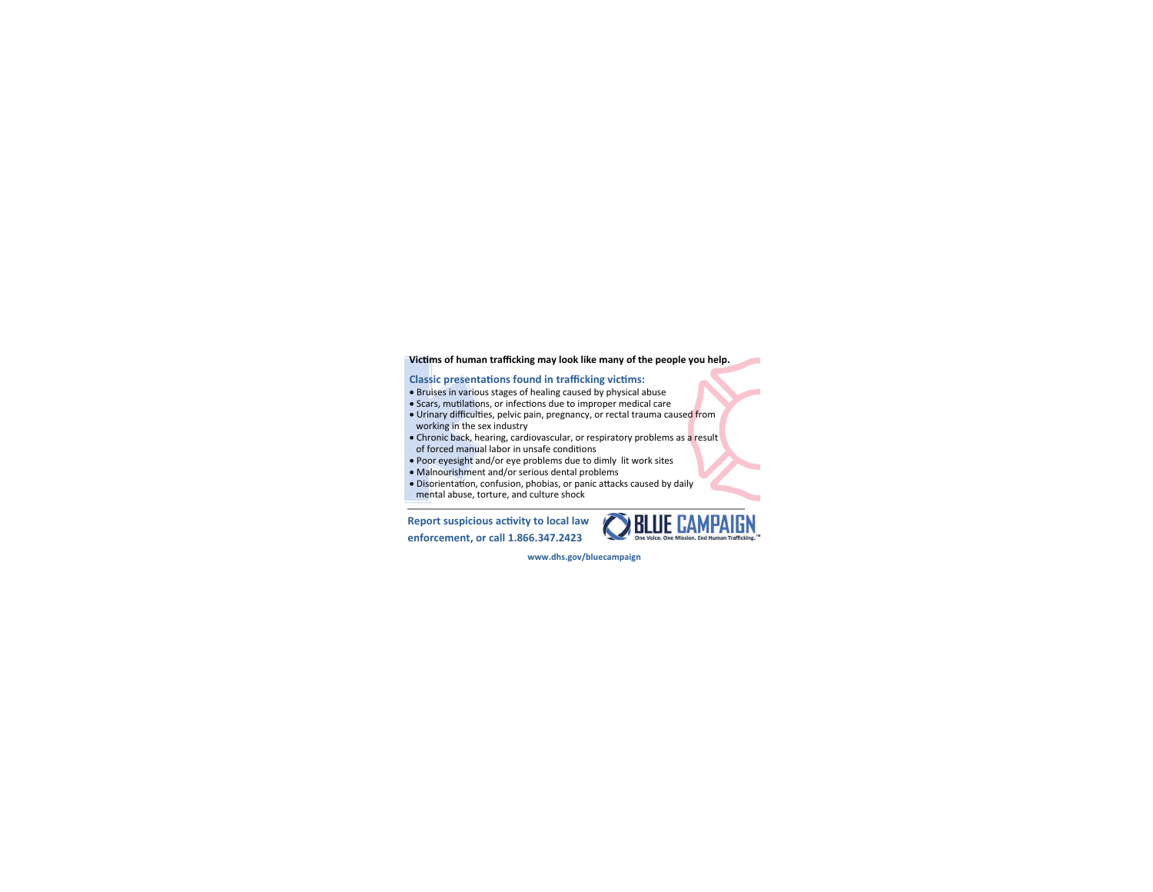# **Victims of human trafficking may look like many of the people you help.**

# **Classic presentations found in trafficking victims:**

- Bruises in various stages of healing caused by physical abuse
- Scars, mutilations, or infections due to improper medical care
- Urinary difficulties, pelvic pain, pregnancy, or rectal trauma caused from working in the sex industry
- Chronic back, hearing, cardiovascular, or respiratory problems as a result
- of forced manual labor in unsafe conditions
- Poor eyesight and/or eye problems due to dimly lit work sites
- Malnourishment and/or serious dental problems
- Disorientation, confusion, phobias, or panic attacks caused by daily
- mental abuse, torture, and culture shock

**Report suspicious acƟvity to local law enforcement, or call 1.866.347.2423** 



**www.dhs.gov/bluecampaign**